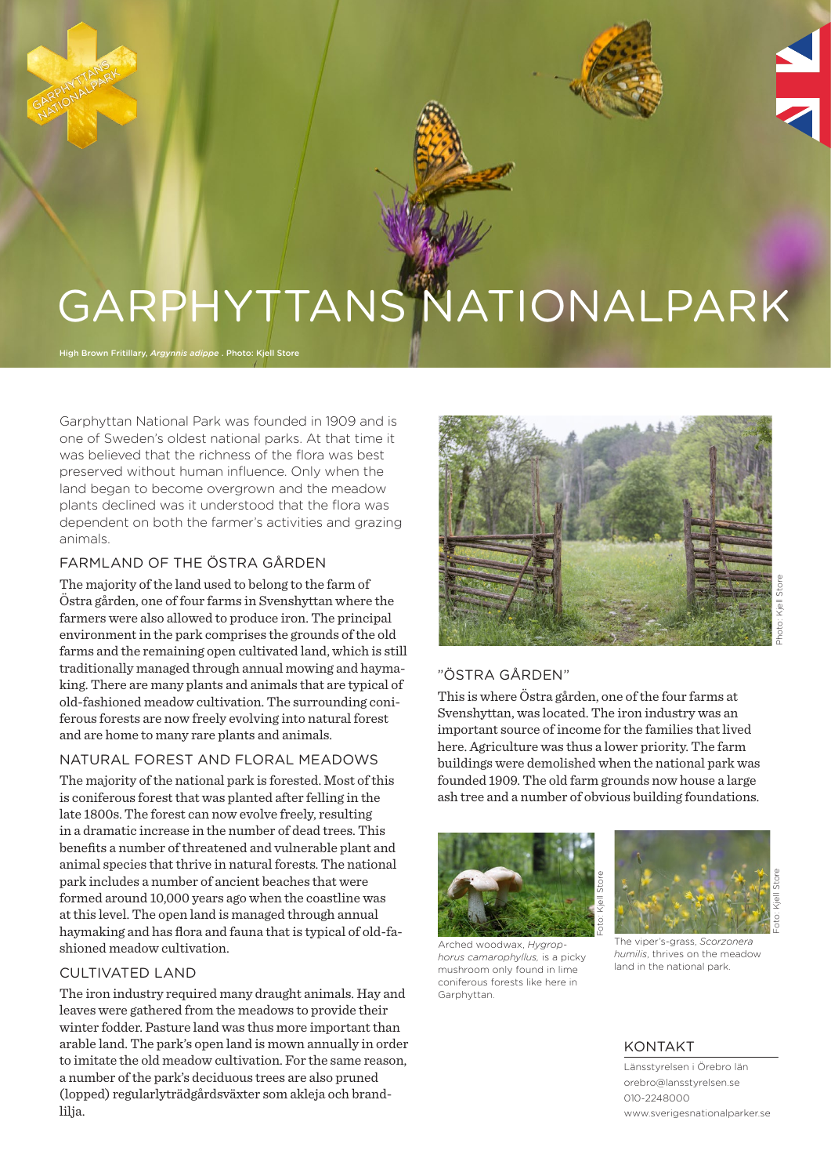# GARPHYTTANS NATIONALPARK

High Brown Fritillary, *Argynnis adippe* . Photo: Kjell Store

Garphyttan National Park was founded in 1909 and is one of Sweden's oldest national parks. At that time it was believed that the richness of the flora was best preserved without human influence. Only when the land began to become overgrown and the meadow plants declined was it understood that the flora was dependent on both the farmer's activities and grazing animals.

## FARMLAND OF THE ÖSTRA GÅRDEN

The majority of the land used to belong to the farm of Östra gården, one of four farms in Svenshyttan where the farmers were also allowed to produce iron. The principal environment in the park comprises the grounds of the old farms and the remaining open cultivated land, which is still traditionally managed through annual mowing and haymaking. There are many plants and animals that are typical of old-fashioned meadow cultivation. The surrounding coniferous forests are now freely evolving into natural forest and are home to many rare plants and animals.

# NATURAL FOREST AND FLORAL MEADOWS

The majority of the national park is forested. Most of this is coniferous forest that was planted after felling in the late 1800s. The forest can now evolve freely, resulting in a dramatic increase in the number of dead trees. This benefits a number of threatened and vulnerable plant and animal species that thrive in natural forests. The national park includes a number of ancient beaches that were formed around 10,000 years ago when the coastline was at this level. The open land is managed through annual haymaking and has flora and fauna that is typical of old-fashioned meadow cultivation.

### CULTIVATED LAND

The iron industry required many draught animals. Hay and leaves were gathered from the meadows to provide their winter fodder. Pasture land was thus more important than arable land. The park's open land is mown annually in order to imitate the old meadow cultivation. For the same reason, a number of the park's deciduous trees are also pruned (lopped) regularlyträdgårdsväxter som akleja och brandlilia.



# "ÖSTRA GÅRDEN"

This is where Östra gården, one of the four farms at Svenshyttan, was located. The iron industry was an important source of income for the families that lived here. Agriculture was thus a lower priority. The farm buildings were demolished when the national park was founded 1909. The old farm grounds now house a large ash tree and a number of obvious building foundations.





The viper's-grass, *Scorzonera* 

*humilis*, thrives on the meadow land in the national park.

#### KONTAKT

Länsstyrelsen i Örebro län orebro@lansstyrelsen.se 010-2248000 www.sverigesnationalparker.se